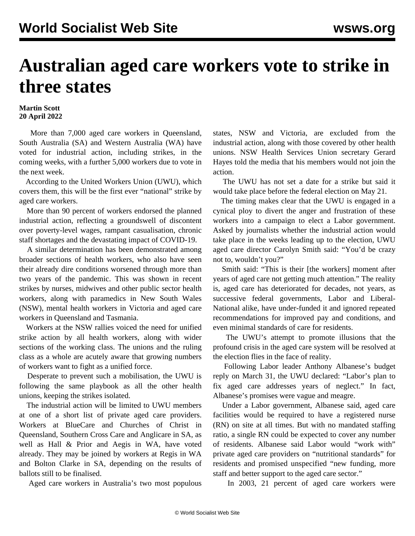## **Australian aged care workers vote to strike in three states**

## **Martin Scott 20 April 2022**

 More than 7,000 aged care workers in Queensland, South Australia (SA) and Western Australia (WA) have voted for industrial action, including strikes, in the coming weeks, with a further 5,000 workers due to vote in the next week.

 According to the United Workers Union (UWU), which covers them, this will be the first ever "national" strike by aged care workers.

 More than 90 percent of workers endorsed the planned industrial action, reflecting a groundswell of discontent over poverty-level wages, rampant casualisation, chronic staff shortages and the devastating impact of COVID-19.

 A similar determination has been demonstrated among broader sections of health workers, who also have seen their already dire conditions worsened through more than two years of the pandemic. This was shown in recent strikes by nurses, midwives and other public sector health workers, along with paramedics in New South Wales (NSW), mental health workers in Victoria and aged care workers in Queensland and Tasmania.

 Workers at the NSW rallies voiced the need for unified strike action by all health workers, along with wider sections of the working class. The unions and the ruling class as a whole are acutely aware that growing numbers of workers want to fight as a unified force.

 Desperate to prevent such a mobilisation, the UWU is following the same playbook as all the other health unions, keeping the strikes isolated.

 The industrial action will be limited to UWU members at one of a short list of private aged care providers. Workers at BlueCare and Churches of Christ in Queensland, Southern Cross Care and Anglicare in SA, as well as Hall & Prior and Aegis in WA, have voted already. They may be joined by workers at Regis in WA and Bolton Clarke in SA, depending on the results of ballots still to be finalised.

Aged care workers in Australia's two most populous

states, NSW and Victoria, are excluded from the industrial action, along with those covered by other health unions. NSW Health Services Union secretary Gerard Hayes told the media that his members would not join the action.

 The UWU has not set a date for a strike but said it would take place before the federal election on May 21.

 The timing makes clear that the UWU is engaged in a cynical ploy to divert the anger and frustration of these workers into a campaign to elect a Labor government. Asked by journalists whether the industrial action would take place in the weeks leading up to the election, UWU aged care director Carolyn Smith said: "You'd be crazy not to, wouldn't you?"

 Smith said: "This is their [the workers] moment after years of aged care not getting much attention." The reality is, aged care has deteriorated for decades, not years, as successive federal governments, Labor and Liberal-National alike, have under-funded it and ignored repeated recommendations for improved pay and conditions, and even minimal standards of care for residents.

 The UWU's attempt to promote illusions that the profound crisis in the aged care system will be resolved at the election flies in the face of reality.

 Following Labor leader Anthony Albanese's budget reply on March 31, the UWU declared: "Labor's plan to fix aged care addresses years of neglect." In fact, Albanese's promises were vague and meagre.

 Under a Labor government, Albanese said, aged care facilities would be required to have a registered nurse (RN) on site at all times. But with no mandated staffing ratio, a single RN could be expected to cover any number of residents. Albanese said Labor would "work with" private aged care providers on "nutritional standards" for residents and promised unspecified "new funding, more staff and better support to the aged care sector."

In 2003, 21 percent of aged care workers were